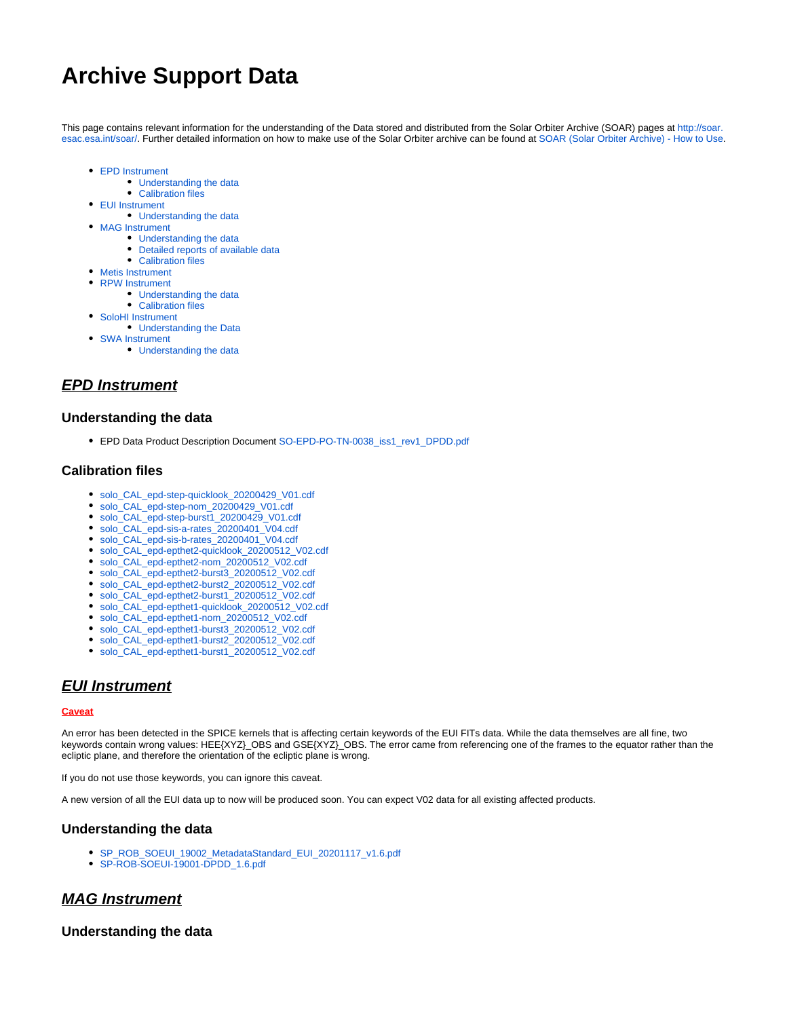# **Archive Support Data**

This page contains relevant information for the understanding of the Data stored and distributed from the Solar Orbiter Archive (SOAR) pages at [http://soar.](http://soar.esac.esa.int/soar/) [esac.esa.int/soar/.](http://soar.esac.esa.int/soar/) Further detailed information on how to make use of the Solar Orbiter archive can be found at [SOAR \(Solar Orbiter Archive\) - How to Use.](https://issues.cosmos.esa.int/solarorbiterwiki/display/SOSP/SOAR+%28Solar+Orbiter+Archive%29+-+How+to+Use)

- [EPD Instrument](#page-0-0)
	- [Understanding the data](#page-0-1)
	- [Calibration files](#page-0-2)
- [EUI Instrument](#page-0-3)
	- [Understanding the data](#page-0-4)
- [MAG Instrument](#page-0-5)
	- [Understanding the data](#page-0-6)
	- [Detailed reports of available data](#page-1-0) • [Calibration files](#page-1-1)
- [Metis Instrument](#page-2-0)
- [RPW Instrument](#page-2-1)
	- [Understanding the data](#page-2-2)
		- [Calibration files](#page-2-3)
- [SoloHI Instrument](#page-2-4)
	- [Understanding the Data](#page-2-5)
- [SWA Instrument](#page-2-6)
	- [Understanding the data](#page-2-7)

## <span id="page-0-0"></span>**EPD Instrument**

#### <span id="page-0-1"></span>**Understanding the data**

EPD Data Product Description Document [SO-EPD-PO-TN-0038\\_iss1\\_rev1\\_DPDD.pdf](https://issues.cosmos.esa.int/solarorbiterwiki/download/attachments/60885589/SO-EPD-PO-TN-0038_iss1_rev1_DPDD.pdf?version=1&modificationDate=1601390701000&api=v2)

#### <span id="page-0-2"></span>**Calibration files**

- [solo\\_CAL\\_epd-step-quicklook\\_20200429\\_V01.cdf](https://issues.cosmos.esa.int/solarorbiterwiki/download/attachments/60885589/solo_CAL_epd-step-quicklook_20200429_V01.cdf?version=1&modificationDate=1601288075000&api=v2)
- [solo\\_CAL\\_epd-step-nom\\_20200429\\_V01.cdf](https://issues.cosmos.esa.int/solarorbiterwiki/download/attachments/60885589/solo_CAL_epd-step-nom_20200429_V01.cdf?version=1&modificationDate=1601288077000&api=v2)
- [solo\\_CAL\\_epd-step-burst1\\_20200429\\_V01.cdf](https://issues.cosmos.esa.int/solarorbiterwiki/download/attachments/60885589/solo_CAL_epd-step-burst1_20200429_V01.cdf?version=1&modificationDate=1601288083000&api=v2)
- [solo\\_CAL\\_epd-sis-a-rates\\_20200401\\_V04.cdf](https://issues.cosmos.esa.int/solarorbiterwiki/download/attachments/60885589/solo_CAL_epd-sis-a-rates_20200401_V04.cdf?version=1&modificationDate=1611653030000&api=v2)
- [solo\\_CAL\\_epd-sis-b-rates\\_20200401\\_V04.cdf](https://issues.cosmos.esa.int/solarorbiterwiki/download/attachments/60885589/solo_CAL_epd-sis-b-rates_20200401_V04.cdf?version=1&modificationDate=1611653055000&api=v2)
- [solo\\_CAL\\_epd-epthet2-quicklook\\_20200512\\_V02.cdf](https://issues.cosmos.esa.int/solarorbiterwiki/download/attachments/60885589/solo_CAL_epd-epthet2-quicklook_20200512_V02.cdf?version=1&modificationDate=1601288090000&api=v2)
- [solo\\_CAL\\_epd-epthet2-nom\\_20200512\\_V02.cdf](https://issues.cosmos.esa.int/solarorbiterwiki/download/attachments/60885589/solo_CAL_epd-epthet2-nom_20200512_V02.cdf?version=1&modificationDate=1601288092000&api=v2)
- [solo\\_CAL\\_epd-epthet2-burst3\\_20200512\\_V02.cdf](https://issues.cosmos.esa.int/solarorbiterwiki/download/attachments/60885589/solo_CAL_epd-epthet2-burst3_20200512_V02.cdf?version=1&modificationDate=1601288095000&api=v2)
- [solo\\_CAL\\_epd-epthet2-burst2\\_20200512\\_V02.cdf](https://issues.cosmos.esa.int/solarorbiterwiki/download/attachments/60885589/solo_CAL_epd-epthet2-burst2_20200512_V02.cdf?version=1&modificationDate=1601288096000&api=v2)
- [solo\\_CAL\\_epd-epthet2-burst1\\_20200512\\_V02.cdf](https://issues.cosmos.esa.int/solarorbiterwiki/download/attachments/60885589/solo_CAL_epd-epthet2-burst1_20200512_V02.cdf?version=1&modificationDate=1601288097000&api=v2)
- [solo\\_CAL\\_epd-epthet1-quicklook\\_20200512\\_V02.cdf](https://issues.cosmos.esa.int/solarorbiterwiki/download/attachments/60885589/solo_CAL_epd-epthet1-quicklook_20200512_V02.cdf?version=1&modificationDate=1601288098000&api=v2)
- [solo\\_CAL\\_epd-epthet1-nom\\_20200512\\_V02.cdf](https://issues.cosmos.esa.int/solarorbiterwiki/download/attachments/60885589/solo_CAL_epd-epthet1-nom_20200512_V02.cdf?version=1&modificationDate=1601288101000&api=v2)
- [solo\\_CAL\\_epd-epthet1-burst3\\_20200512\\_V02.cdf](https://issues.cosmos.esa.int/solarorbiterwiki/download/attachments/60885589/solo_CAL_epd-epthet1-burst3_20200512_V02.cdf?version=1&modificationDate=1601288104000&api=v2)
- [solo\\_CAL\\_epd-epthet1-burst2\\_20200512\\_V02.cdf](https://issues.cosmos.esa.int/solarorbiterwiki/download/attachments/60885589/solo_CAL_epd-epthet1-burst2_20200512_V02.cdf?version=1&modificationDate=1601288105000&api=v2)
- [solo\\_CAL\\_epd-epthet1-burst1\\_20200512\\_V02.cdf](https://issues.cosmos.esa.int/solarorbiterwiki/download/attachments/60885589/solo_CAL_epd-epthet1-burst1_20200512_V02.cdf?version=1&modificationDate=1601288106000&api=v2)

## <span id="page-0-3"></span>**EUI Instrument**

#### **Caveat**

An error has been detected in the SPICE kernels that is affecting certain keywords of the EUI FITs data. While the data themselves are all fine, two keywords contain wrong values: HEE{XYZ}\_OBS and GSE{XYZ}\_OBS. The error came from referencing one of the frames to the equator rather than the ecliptic plane, and therefore the orientation of the ecliptic plane is wrong.

If you do not use those keywords, you can ignore this caveat.

A new version of all the EUI data up to now will be produced soon. You can expect V02 data for all existing affected products.

#### <span id="page-0-4"></span>**Understanding the data**

- [SP\\_ROB\\_SOEUI\\_19002\\_MetadataStandard\\_EUI\\_20201117\\_v1.6.pdf](https://issues.cosmos.esa.int/solarorbiterwiki/download/attachments/60885589/SP_ROB_SOEUI_19002_MetadataStandard_EUI_20201117_v1.6.pdf?version=1&modificationDate=1606821309000&api=v2)
- [SP-ROB-SOEUI-19001-DPDD\\_1.6.pdf](https://issues.cosmos.esa.int/solarorbiterwiki/download/attachments/60885589/SP-ROB-SOEUI-19001-DPDD_1.6.pdf?version=1&modificationDate=1606821323000&api=v2)

# <span id="page-0-5"></span>**MAG Instrument**

## <span id="page-0-6"></span>**Understanding the data**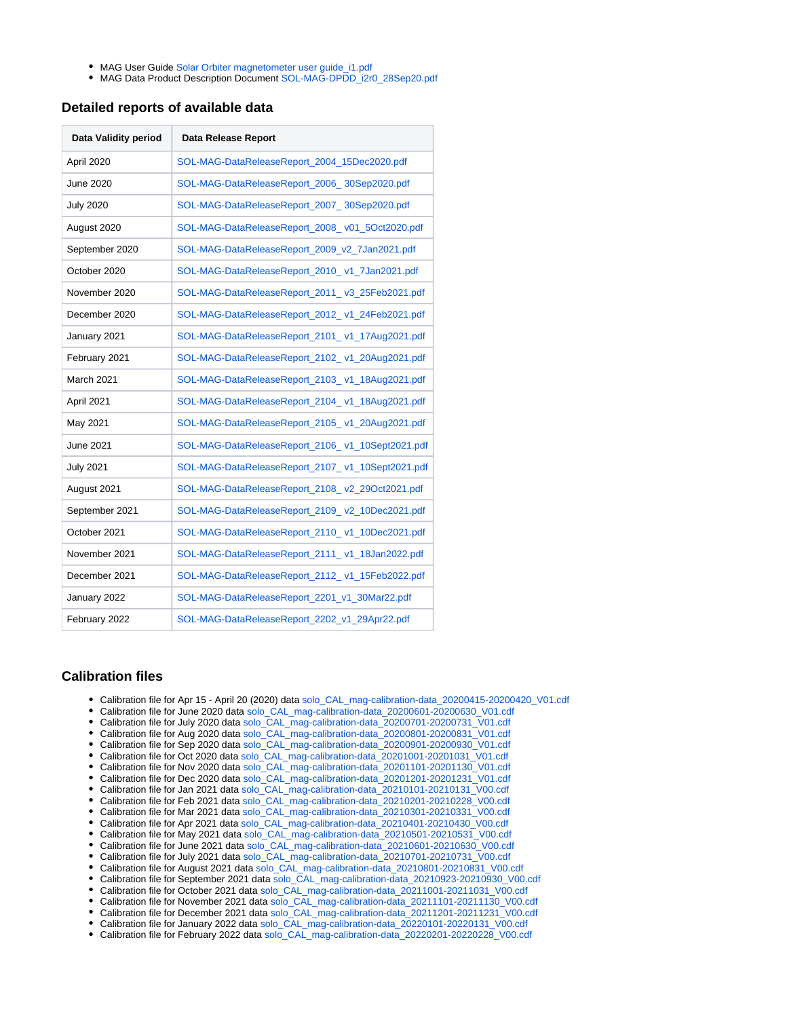- MAG User Guide Solar Orbiter magnetometer user quide i1.pdf
- MAG Data Product Description Document [SOL-MAG-DPDD\\_i2r0\\_28Sep20.pdf](https://issues.cosmos.esa.int/solarorbiterwiki/download/attachments/60885589/SOL-MAG-DPDD_i2r0_28Sep20.pdf?version=1&modificationDate=1601286989000&api=v2)

#### <span id="page-1-0"></span>**Detailed reports of available data**

| Data Validity period | Data Release Report                              |
|----------------------|--------------------------------------------------|
| April 2020           | SOL-MAG-DataReleaseReport 2004 15Dec2020.pdf     |
| <b>June 2020</b>     | SOL-MAG-DataReleaseReport_2006_30Sep2020.pdf     |
| <b>July 2020</b>     | SOL-MAG-DataReleaseReport 2007 30Sep2020.pdf     |
| August 2020          | SOL-MAG-DataReleaseReport_2008_v01_5Oct2020.pdf  |
| September 2020       | SOL-MAG-DataReleaseReport 2009 v2 7Jan2021.pdf   |
| October 2020         | SOL-MAG-DataReleaseReport 2010 v1 7Jan2021.pdf   |
| November 2020        | SOL-MAG-DataReleaseReport_2011_v3_25Feb2021.pdf  |
| December 2020        | SOL-MAG-DataReleaseReport 2012 v1 24Feb2021.pdf  |
| January 2021         | SOL-MAG-DataReleaseReport 2101 v1 17Aug2021.pdf  |
| February 2021        | SOL-MAG-DataReleaseReport_2102_v1_20Aug2021.pdf  |
| <b>March 2021</b>    | SOL-MAG-DataReleaseReport_2103_v1_18Aug2021.pdf  |
| April 2021           | SOL-MAG-DataReleaseReport_2104_v1_18Aug2021.pdf  |
| May 2021             | SOL-MAG-DataReleaseReport_2105_v1_20Aug2021.pdf  |
| <b>June 2021</b>     | SOL-MAG-DataReleaseReport_2106_v1_10Sept2021.pdf |
| <b>July 2021</b>     | SOL-MAG-DataReleaseReport_2107_v1_10Sept2021.pdf |
| August 2021          | SOL-MAG-DataReleaseReport_2108_v2_29Oct2021.pdf  |
| September 2021       | SOL-MAG-DataReleaseReport_2109_v2_10Dec2021.pdf  |
| October 2021         | SOL-MAG-DataReleaseReport_2110_v1_10Dec2021.pdf  |
| November 2021        | SOL-MAG-DataReleaseReport_2111_v1_18Jan2022.pdf  |
| December 2021        | SOL-MAG-DataReleaseReport 2112 v1 15Feb2022.pdf  |
| January 2022         | SOL-MAG-DataReleaseReport_2201_v1_30Mar22.pdf    |
| February 2022        | SOL-MAG-DataReleaseReport_2202_v1_29Apr22.pdf    |

#### <span id="page-1-1"></span>**Calibration files**

- Calibration file for Apr 15 April 20 (2020) data [solo\\_CAL\\_mag-calibration-data\\_20200415-20200420\\_V01.cdf](https://issues.cosmos.esa.int/solarorbiterwiki/download/attachments/60885589/solo_CAL_mag-calibration-data_20200415-20200420_V01.cdf?version=1&modificationDate=1608053829000&api=v2)
- Calibration file for June 2020 data [solo\\_CAL\\_mag-calibration-data\\_20200601-20200630\\_V01.cdf](https://issues.cosmos.esa.int/solarorbiterwiki/download/attachments/60885589/solo_CAL_mag-calibration-data_20200601-20200630_V01.cdf?version=1&modificationDate=1601287188000&api=v2)
- Calibration file for July 2020 data [solo\\_CAL\\_mag-calibration-data\\_20200701-20200731\\_V01.cdf](https://issues.cosmos.esa.int/solarorbiterwiki/download/attachments/60885589/solo_CAL_mag-calibration-data_20200701-20200731_V01.cdf?version=1&modificationDate=1601287206000&api=v2)
- Calibration file for Aug 2020 data [solo\\_CAL\\_mag-calibration-data\\_20200801-20200831\\_V01.cdf](https://issues.cosmos.esa.int/solarorbiterwiki/download/attachments/60885589/solo_CAL_mag-calibration-data_20200801-20200831_V01.cdf?version=1&modificationDate=1604393939000&api=v2)
- Calibration file for Sep 2020 data [solo\\_CAL\\_mag-calibration-data\\_20200901-20200930\\_V01.cdf](https://issues.cosmos.esa.int/solarorbiterwiki/download/attachments/60885589/solo_CAL_mag-calibration-data_20200901-20200930_V01.cdf?version=1&modificationDate=1610362334000&api=v2)
- Calibration file for Oct 2020 data [solo\\_CAL\\_mag-calibration-data\\_20201001-20201031\\_V01.cdf](https://issues.cosmos.esa.int/solarorbiterwiki/download/attachments/60885589/solo_CAL_mag-calibration-data_20201001-20201031_V01.cdf?version=1&modificationDate=1610362376000&api=v2)
- Calibration file for Nov 2020 data [solo\\_CAL\\_mag-calibration-data\\_20201101-20201130\\_V01.cdf](https://issues.cosmos.esa.int/solarorbiterwiki/download/attachments/60885589/solo_CAL_mag-calibration-data_20201101-20201130_V01.cdf?version=1&modificationDate=1612782691000&api=v2)
- Calibration file for Dec 2020 data [solo\\_CAL\\_mag-calibration-data\\_20201201-20201231\\_V01.cdf](https://issues.cosmos.esa.int/solarorbiterwiki/download/attachments/60885589/solo_CAL_mag-calibration-data_20201201-20201231_V01.cdf?version=1&modificationDate=1614687364000&api=v2)
- Calibration file for Jan 2021 data [solo\\_CAL\\_mag-calibration-data\\_20210101-20210131\\_V00.cdf](https://issues.cosmos.esa.int/solarorbiterwiki/download/attachments/60885589/solo_CAL_mag-calibration-data_20210101-20210131_V00.cdf?version=1&modificationDate=1629799903000&api=v2)
- Calibration file for Feb 2021 data [solo\\_CAL\\_mag-calibration-data\\_20210201-20210228\\_V00.cdf](https://issues.cosmos.esa.int/solarorbiterwiki/download/attachments/60885589/solo_CAL_mag-calibration-data_20210201-20210228_V00.cdf?version=1&modificationDate=1629799950000&api=v2)
- Calibration file for Mar 2021 data [solo\\_CAL\\_mag-calibration-data\\_20210301-20210331\\_V00.cdf](https://issues.cosmos.esa.int/solarorbiterwiki/download/attachments/60885589/solo_CAL_mag-calibration-data_20210301-20210331_V00.cdf?version=1&modificationDate=1629799963000&api=v2)
- Calibration file for Apr 2021 data [solo\\_CAL\\_mag-calibration-data\\_20210401-20210430\\_V00.cdf](https://issues.cosmos.esa.int/solarorbiterwiki/download/attachments/60885589/solo_CAL_mag-calibration-data_20210401-20210430_V00.cdf?version=1&modificationDate=1629799973000&api=v2)
- Calibration file for May 2021 data [solo\\_CAL\\_mag-calibration-data\\_20210501-20210531\\_V00.cdf](https://issues.cosmos.esa.int/solarorbiterwiki/download/attachments/60885589/solo_CAL_mag-calibration-data_20210501-20210531_V00.cdf?version=1&modificationDate=1629799984000&api=v2)
- Calibration file for June 2021 data [solo\\_CAL\\_mag-calibration-data\\_20210601-20210630\\_V00.cdf](https://issues.cosmos.esa.int/solarorbiterwiki/download/attachments/60885589/solo_CAL_mag-calibration-data_20210601-20210630_V00.cdf?version=1&modificationDate=1631521016000&api=v2)
- Calibration file for July 2021 data [solo\\_CAL\\_mag-calibration-data\\_20210701-20210731\\_V00.cdf](https://issues.cosmos.esa.int/solarorbiterwiki/download/attachments/60885589/solo_CAL_mag-calibration-data_20210701-20210731_V00.cdf?version=1&modificationDate=1631521050000&api=v2)
- Calibration file for August 2021 data [solo\\_CAL\\_mag-calibration-data\\_20210801-20210831\\_V00.cdf](https://issues.cosmos.esa.int/solarorbiterwiki/download/attachments/60885589/solo_CAL_mag-calibration-data_20210801-20210831_V00.cdf?version=1&modificationDate=1636017510000&api=v2)
- Calibration file for September 2021 data [solo\\_CAL\\_mag-calibration-data\\_20210923-20210930\\_V00.cdf](https://issues.cosmos.esa.int/solarorbiterwiki/download/attachments/60885589/solo_CAL_mag-calibration-data_20210923-20210930_V00.cdf?version=1&modificationDate=1639479817000&api=v2)
- Calibration file for October 2021 data [solo\\_CAL\\_mag-calibration-data\\_20211001-20211031\\_V00.cdf](https://issues.cosmos.esa.int/solarorbiterwiki/download/attachments/60885589/solo_CAL_mag-calibration-data_20211001-20211031_V00.cdf?version=1&modificationDate=1639479832000&api=v2)
- Calibration file for November 2021 data [solo\\_CAL\\_mag-calibration-data\\_20211101-20211130\\_V00.cdf](https://issues.cosmos.esa.int/solarorbiterwiki/download/attachments/60885589/solo_CAL_mag-calibration-data_20211101-20211130_V00.cdf?version=1&modificationDate=1642522503000&api=v2)
- Calibration file for December 2021 data [solo\\_CAL\\_mag-calibration-data\\_20211201-20211231\\_V00.cdf](https://issues.cosmos.esa.int/solarorbiterwiki/download/attachments/60885589/solo_CAL_mag-calibration-data_20211201-20211231_V00.cdf?version=1&modificationDate=1644927171000&api=v2) Calibration file for January 2022 data [solo\\_CAL\\_mag-calibration-data\\_20220101-20220131\\_V00.cdf](https://issues.cosmos.esa.int/solarorbiterwiki/download/attachments/60885589/solo_CAL_mag-calibration-data_20220101-20220131_V00.cdf?version=1&modificationDate=1648635563000&api=v2)
- Calibration file for February 2022 data [solo\\_CAL\\_mag-calibration-data\\_20220201-20220228\\_V00.cdf](https://issues.cosmos.esa.int/solarorbiterwiki/download/attachments/60885589/solo_CAL_mag-calibration-data_20220201-20220228_V00.cdf?version=1&modificationDate=1651217993000&api=v2)